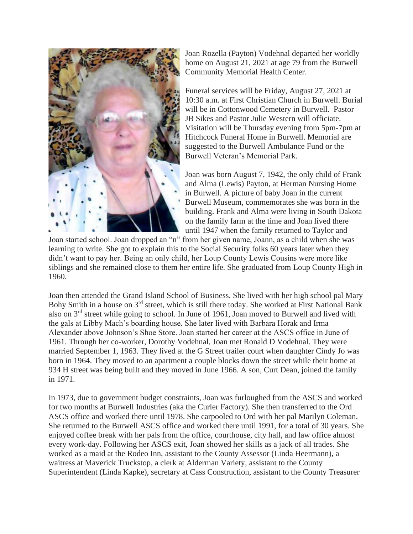

Joan Rozella (Payton) Vodehnal departed her worldly home on August 21, 2021 at age 79 from the Burwell Community Memorial Health Center.

Funeral services will be Friday, August 27, 2021 at 10:30 a.m. at First Christian Church in Burwell. Burial will be in Cottonwood Cemetery in Burwell. Pastor JB Sikes and Pastor Julie Western will officiate. Visitation will be Thursday evening from 5pm-7pm at Hitchcock Funeral Home in Burwell. Memorial are suggested to the Burwell Ambulance Fund or the Burwell Veteran's Memorial Park.

Joan was born August 7, 1942, the only child of Frank and Alma (Lewis) Payton, at Herman Nursing Home in Burwell. A picture of baby Joan in the current Burwell Museum, commemorates she was born in the building. Frank and Alma were living in South Dakota on the family farm at the time and Joan lived there until 1947 when the family returned to Taylor and

Joan started school. Joan dropped an "n" from her given name, Joann, as a child when she was learning to write. She got to explain this to the Social Security folks 60 years later when they didn't want to pay her. Being an only child, her Loup County Lewis Cousins were more like siblings and she remained close to them her entire life. She graduated from Loup County High in 1960.

Joan then attended the Grand Island School of Business. She lived with her high school pal Mary Bohy Smith in a house on 3<sup>rd</sup> street, which is still there today. She worked at First National Bank also on 3rd street while going to school. In June of 1961, Joan moved to Burwell and lived with the gals at Libby Mach's boarding house. She later lived with Barbara Horak and Irma Alexander above Johnson's Shoe Store. Joan started her career at the ASCS office in June of 1961. Through her co-worker, Dorothy Vodehnal, Joan met Ronald D Vodehnal. They were married September 1, 1963. They lived at the G Street trailer court when daughter Cindy Jo was born in 1964. They moved to an apartment a couple blocks down the street while their home at 934 H street was being built and they moved in June 1966. A son, Curt Dean, joined the family in 1971.

In 1973, due to government budget constraints, Joan was furloughed from the ASCS and worked for two months at Burwell Industries (aka the Curler Factory). She then transferred to the Ord ASCS office and worked there until 1978. She carpooled to Ord with her pal Marilyn Coleman. She returned to the Burwell ASCS office and worked there until 1991, for a total of 30 years. She enjoyed coffee break with her pals from the office, courthouse, city hall, and law office almost every work-day. Following her ASCS exit, Joan showed her skills as a jack of all trades. She worked as a maid at the Rodeo Inn, assistant to the County Assessor (Linda Heermann), a waitress at Maverick Truckstop, a clerk at Alderman Variety, assistant to the County Superintendent (Linda Kapke), secretary at Cass Construction, assistant to the County Treasurer